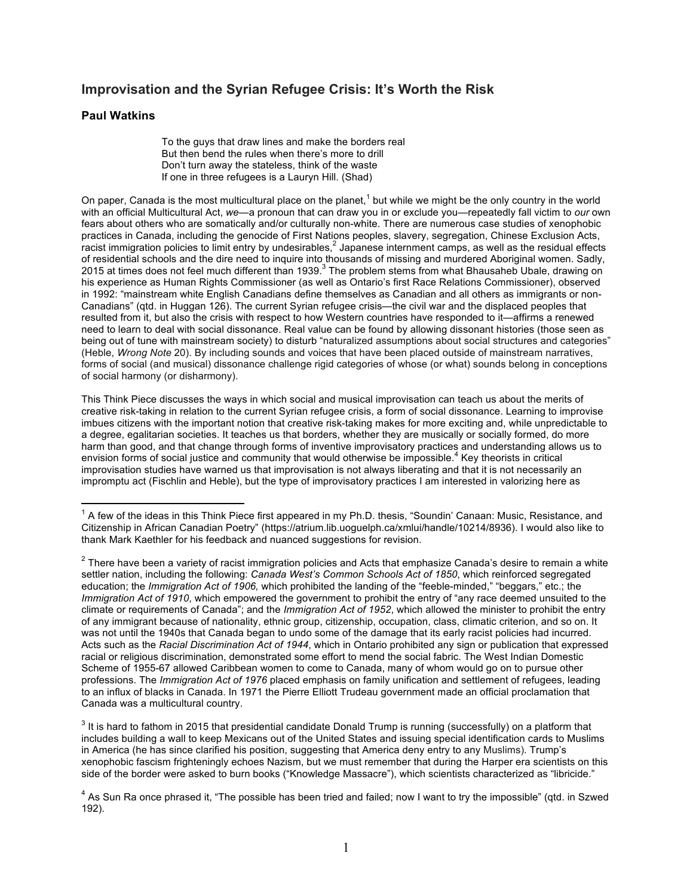## **Improvisation and the Syrian Refugee Crisis: It's Worth the Risk**

## **Paul Watkins**

To the guys that draw lines and make the borders real But then bend the rules when there's more to drill Don't turn away the stateless, think of the waste If one in three refugees is a Lauryn Hill. (Shad)

On paper, Canada is the most multicultural place on the planet,<sup>1</sup> but while we might be the only country in the world with an official Multicultural Act, *we*—a pronoun that can draw you in or exclude you—repeatedly fall victim to *our* own fears about others who are somatically and/or culturally non-white. There are numerous case studies of xenophobic practices in Canada, including the genocide of First Nations peoples, slavery, segregation, Chinese Exclusion Acts, racist immigration policies to limit entry by undesirables,<sup>2</sup> Japanese internment camps, as well as the residual effects of residential schools and the dire need to inquire into thousands of missing and murdered Aboriginal women. Sadly, 2015 at times does not feel much different than 1939.<sup>3</sup> The problem stems from what Bhausaheb Ubale, drawing on his experience as Human Rights Commissioner (as well as Ontario's first Race Relations Commissioner), observed in 1992: "mainstream white English Canadians define themselves as Canadian and all others as immigrants or non-Canadians" (qtd. in Huggan 126). The current Syrian refugee crisis—the civil war and the displaced peoples that resulted from it, but also the crisis with respect to how Western countries have responded to it—affirms a renewed need to learn to deal with social dissonance. Real value can be found by allowing dissonant histories (those seen as being out of tune with mainstream society) to disturb "naturalized assumptions about social structures and categories" (Heble, *Wrong Note* 20). By including sounds and voices that have been placed outside of mainstream narratives, forms of social (and musical) dissonance challenge rigid categories of whose (or what) sounds belong in conceptions of social harmony (or disharmony).

This Think Piece discusses the ways in which social and musical improvisation can teach us about the merits of creative risk-taking in relation to the current Syrian refugee crisis, a form of social dissonance. Learning to improvise imbues citizens with the important notion that creative risk-taking makes for more exciting and, while unpredictable to a degree, egalitarian societies. It teaches us that borders, whether they are musically or socially formed, do more harm than good, and that change through forms of inventive improvisatory practices and understanding allows us to envision forms of social justice and community that would otherwise be impossible.<sup>4</sup> Key theorists in critical improvisation studies have warned us that improvisation is not always liberating and that it is not necessarily an impromptu act (Fischlin and Heble), but the type of improvisatory practices I am interested in valorizing here as

 $3$  It is hard to fathom in 2015 that presidential candidate Donald Trump is running (successfully) on a platform that includes building a wall to keep Mexicans out of the United States and issuing special identification cards to Muslims in America (he has since clarified his position, suggesting that America deny entry to any Muslims). Trump's xenophobic fascism frighteningly echoes Nazism, but we must remember that during the Harper era scientists on this side of the border were asked to burn books ("Knowledge Massacre"), which scientists characterized as "libricide."

 $1$  A few of the ideas in this Think Piece first appeared in my Ph.D. thesis, "Soundin' Canaan: Music, Resistance, and Citizenship in African Canadian Poetry" (https://atrium.lib.uoguelph.ca/xmlui/handle/10214/8936). I would also like to thank Mark Kaethler for his feedback and nuanced suggestions for revision.

 $2$  There have been a variety of racist immigration policies and Acts that emphasize Canada's desire to remain a white settler nation, including the following: *Canada West's Common Schools Act of 1850*, which reinforced segregated education; the *Immigration Act of 1906,* which prohibited the landing of the "feeble-minded," "beggars," etc.; the *Immigration Act of 1910*, which empowered the government to prohibit the entry of "any race deemed unsuited to the climate or requirements of Canada"; and the *Immigration Act of 1952*, which allowed the minister to prohibit the entry of any immigrant because of nationality, ethnic group, citizenship, occupation, class, climatic criterion, and so on. It was not until the 1940s that Canada began to undo some of the damage that its early racist policies had incurred. Acts such as the *Racial Discrimination Act of 1944*, which in Ontario prohibited any sign or publication that expressed racial or religious discrimination, demonstrated some effort to mend the social fabric. The West Indian Domestic Scheme of 1955-67 allowed Caribbean women to come to Canada, many of whom would go on to pursue other professions. The *Immigration Act of 1976* placed emphasis on family unification and settlement of refugees, leading to an influx of blacks in Canada. In 1971 the Pierre Elliott Trudeau government made an official proclamation that Canada was a multicultural country.

 $4$  As Sun Ra once phrased it, "The possible has been tried and failed; now I want to try the impossible" (qtd. in Szwed 192).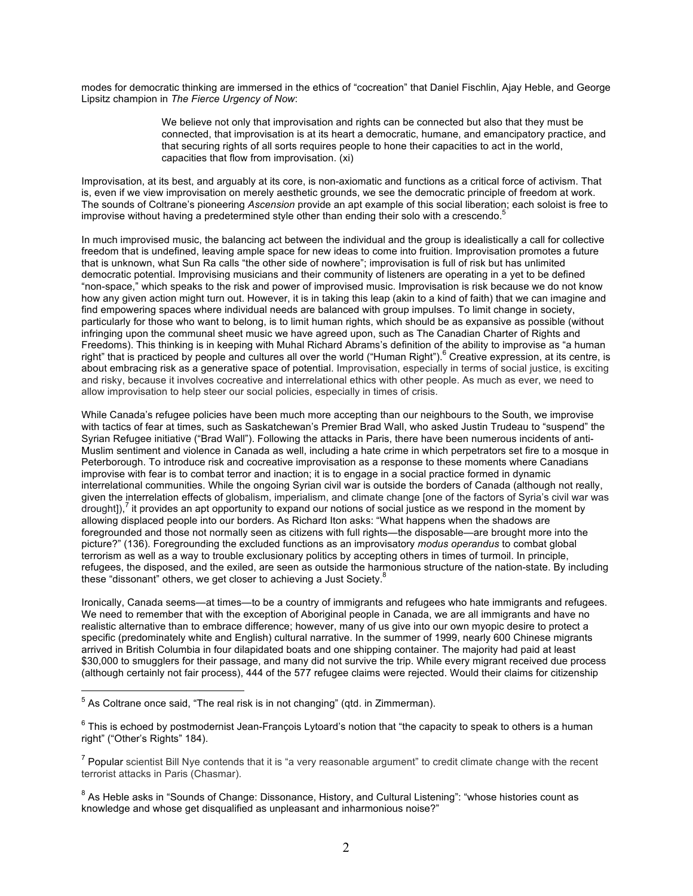modes for democratic thinking are immersed in the ethics of "cocreation" that Daniel Fischlin, Ajay Heble, and George Lipsitz champion in *The Fierce Urgency of Now*:

> We believe not only that improvisation and rights can be connected but also that they must be connected, that improvisation is at its heart a democratic, humane, and emancipatory practice, and that securing rights of all sorts requires people to hone their capacities to act in the world, capacities that flow from improvisation. (xi)

Improvisation, at its best, and arguably at its core, is non-axiomatic and functions as a critical force of activism. That is, even if we view improvisation on merely aesthetic grounds, we see the democratic principle of freedom at work. The sounds of Coltrane's pioneering *Ascension* provide an apt example of this social liberation; each soloist is free to improvise without having a predetermined style other than ending their solo with a crescendo.<sup>5</sup>

In much improvised music, the balancing act between the individual and the group is idealistically a call for collective freedom that is undefined, leaving ample space for new ideas to come into fruition. Improvisation promotes a future that is unknown, what Sun Ra calls "the other side of nowhere"; improvisation is full of risk but has unlimited democratic potential. Improvising musicians and their community of listeners are operating in a yet to be defined "non-space," which speaks to the risk and power of improvised music. Improvisation is risk because we do not know how any given action might turn out. However, it is in taking this leap (akin to a kind of faith) that we can imagine and find empowering spaces where individual needs are balanced with group impulses. To limit change in society, particularly for those who want to belong, is to limit human rights, which should be as expansive as possible (without infringing upon the communal sheet music we have agreed upon, such as The Canadian Charter of Rights and Freedoms). This thinking is in keeping with Muhal Richard Abrams's definition of the ability to improvise as "a human right" that is practiced by people and cultures all over the world ("Human Right").<sup>6</sup> Creative expression, at its centre, is about embracing risk as a generative space of potential. Improvisation, especially in terms of social justice, is exciting and risky, because it involves cocreative and interrelational ethics with other people. As much as ever, we need to allow improvisation to help steer our social policies, especially in times of crisis.

While Canada's refugee policies have been much more accepting than our neighbours to the South, we improvise with tactics of fear at times, such as Saskatchewan's Premier Brad Wall, who asked Justin Trudeau to "suspend" the Syrian Refugee initiative ("Brad Wall"). Following the attacks in Paris, there have been numerous incidents of anti-Muslim sentiment and violence in Canada as well, including a hate crime in which perpetrators set fire to a mosque in Peterborough. To introduce risk and cocreative improvisation as a response to these moments where Canadians improvise with fear is to combat terror and inaction; it is to engage in a social practice formed in dynamic interrelational communities. While the ongoing Syrian civil war is outside the borders of Canada (although not really, given the interrelation effects of globalism, imperialism, and climate change [one of the factors of Syria's civil war was  $\sigma$  drought]),<sup>7</sup> it provides an apt opportunity to expand our notions of social justice as we respond in the moment by allowing displaced people into our borders. As Richard Iton asks: "What happens when the shadows are foregrounded and those not normally seen as citizens with full rights—the disposable—are brought more into the picture?" (136). Foregrounding the excluded functions as an improvisatory *modus operandus* to combat global terrorism as well as a way to trouble exclusionary politics by accepting others in times of turmoil. In principle, refugees, the disposed, and the exiled, are seen as outside the harmonious structure of the nation-state. By including these "dissonant" others, we get closer to achieving a Just Society.<sup>8</sup>

Ironically, Canada seems—at times—to be a country of immigrants and refugees who hate immigrants and refugees. We need to remember that with the exception of Aboriginal people in Canada, we are all immigrants and have no realistic alternative than to embrace difference; however, many of us give into our own myopic desire to protect a specific (predominately white and English) cultural narrative. In the summer of 1999, nearly 600 Chinese migrants arrived in British Columbia in four dilapidated boats and one shipping container. The majority had paid at least \$30,000 to smugglers for their passage, and many did not survive the trip. While every migrant received due process (although certainly not fair process), 444 of the 577 refugee claims were rejected. Would their claims for citizenship

 $<sup>5</sup>$  As Coltrane once said, "The real risk is in not changing" (qtd. in Zimmerman).</sup>

 $6$  This is echoed by postmodernist Jean-François Lytoard's notion that "the capacity to speak to others is a human right" ("Other's Rights" 184).

 $<sup>7</sup>$  Popular scientist Bill Nye contends that it is "a very reasonable argument" to credit climate change with the recent</sup> terrorist attacks in Paris (Chasmar).

<sup>&</sup>lt;sup>8</sup> As Heble asks in "Sounds of Change: Dissonance, History, and Cultural Listening": "whose histories count as knowledge and whose get disqualified as unpleasant and inharmonious noise?"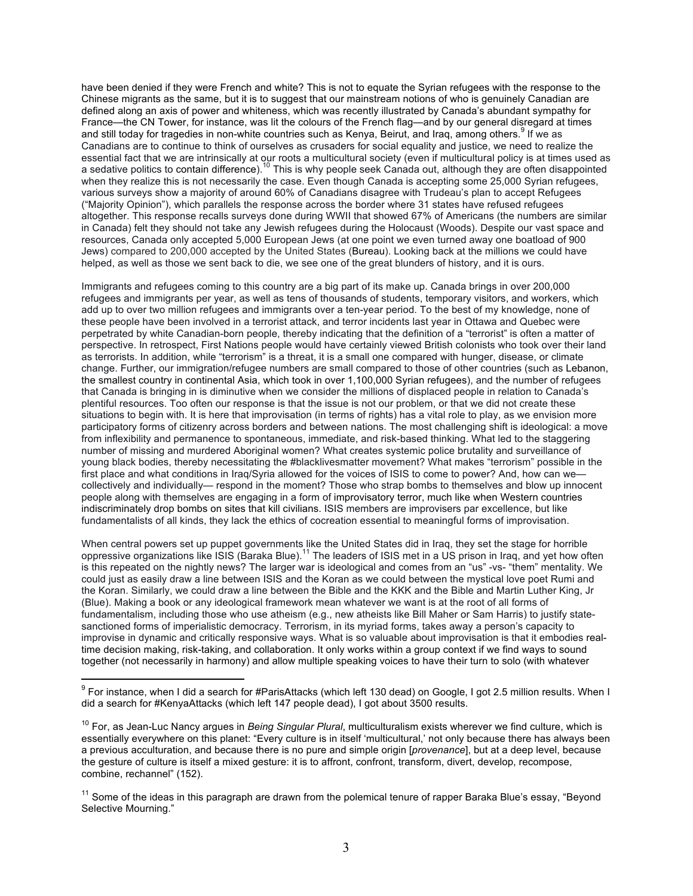have been denied if they were French and white? This is not to equate the Syrian refugees with the response to the Chinese migrants as the same, but it is to suggest that our mainstream notions of who is genuinely Canadian are defined along an axis of power and whiteness, which was recently illustrated by Canada's abundant sympathy for France—the CN Tower, for instance, was lit the colours of the French flag—and by our general disregard at times and still today for tragedies in non-white countries such as Kenya, Beirut, and Iraq, among others.<sup>9</sup> If we as Canadians are to continue to think of ourselves as crusaders for social equality and justice, we need to realize the essential fact that we are intrinsically at our roots a multicultural society (even if multicultural policy is at times used as a sedative politics to contain difference).<sup>10</sup> This is why people seek Canada out, although they are often disappointed when they realize this is not necessarily the case. Even though Canada is accepting some 25,000 Syrian refugees, various surveys show a majority of around 60% of Canadians disagree with Trudeau's plan to accept Refugees ("Majority Opinion"), which parallels the response across the border where 31 states have refused refugees altogether. This response recalls surveys done during WWII that showed 67% of Americans (the numbers are similar in Canada) felt they should not take any Jewish refugees during the Holocaust (Woods). Despite our vast space and resources, Canada only accepted 5,000 European Jews (at one point we even turned away one boatload of 900 Jews) compared to 200,000 accepted by the United States (Bureau). Looking back at the millions we could have helped, as well as those we sent back to die, we see one of the great blunders of history, and it is ours.

Immigrants and refugees coming to this country are a big part of its make up. Canada brings in over 200,000 refugees and immigrants per year, as well as tens of thousands of students, temporary visitors, and workers, which add up to over two million refugees and immigrants over a ten-year period. To the best of my knowledge, none of these people have been involved in a terrorist attack, and terror incidents last year in Ottawa and Quebec were perpetrated by white Canadian-born people, thereby indicating that the definition of a "terrorist" is often a matter of perspective. In retrospect, First Nations people would have certainly viewed British colonists who took over their land as terrorists. In addition, while "terrorism" is a threat, it is a small one compared with hunger, disease, or climate change. Further, our immigration/refugee numbers are small compared to those of other countries (such as Lebanon, the smallest country in continental Asia, which took in over 1,100,000 Syrian refugees), and the number of refugees that Canada is bringing in is diminutive when we consider the millions of displaced people in relation to Canada's plentiful resources. Too often our response is that the issue is not our problem, or that we did not create these situations to begin with. It is here that improvisation (in terms of rights) has a vital role to play, as we envision more participatory forms of citizenry across borders and between nations. The most challenging shift is ideological: a move from inflexibility and permanence to spontaneous, immediate, and risk-based thinking. What led to the staggering number of missing and murdered Aboriginal women? What creates systemic police brutality and surveillance of young black bodies, thereby necessitating the #blacklivesmatter movement? What makes "terrorism" possible in the first place and what conditions in Iraq/Syria allowed for the voices of ISIS to come to power? And, how can we collectively and individually— respond in the moment? Those who strap bombs to themselves and blow up innocent people along with themselves are engaging in a form of improvisatory terror, much like when Western countries indiscriminately drop bombs on sites that kill civilians. ISIS members are improvisers par excellence, but like fundamentalists of all kinds, they lack the ethics of cocreation essential to meaningful forms of improvisation.

When central powers set up puppet governments like the United States did in Iraq, they set the stage for horrible oppressive organizations like ISIS (Baraka Blue).<sup>11</sup> The leaders of ISIS met in a US prison in Iraq, and yet how often is this repeated on the nightly news? The larger war is ideological and comes from an "us" -vs- "them" mentality. We could just as easily draw a line between ISIS and the Koran as we could between the mystical love poet Rumi and the Koran. Similarly, we could draw a line between the Bible and the KKK and the Bible and Martin Luther King, Jr (Blue). Making a book or any ideological framework mean whatever we want is at the root of all forms of fundamentalism, including those who use atheism (e.g., new atheists like Bill Maher or Sam Harris) to justify statesanctioned forms of imperialistic democracy. Terrorism, in its myriad forms, takes away a person's capacity to improvise in dynamic and critically responsive ways. What is so valuable about improvisation is that it embodies realtime decision making, risk-taking, and collaboration. It only works within a group context if we find ways to sound together (not necessarily in harmony) and allow multiple speaking voices to have their turn to solo (with whatever

 $9$  For instance, when I did a search for #ParisAttacks (which left 130 dead) on Google, I got 2.5 million results. When I did a search for #KenyaAttacks (which left 147 people dead), I got about 3500 results.

<sup>10</sup> For, as Jean-Luc Nancy argues in *Being Singular Plural*, multiculturalism exists wherever we find culture, which is essentially everywhere on this planet: "Every culture is in itself 'multicultural,' not only because there has always been a previous acculturation, and because there is no pure and simple origin [*provenance*], but at a deep level, because the gesture of culture is itself a mixed gesture: it is to affront, confront, transform, divert, develop, recompose, combine, rechannel" (152).

<sup>&</sup>lt;sup>11</sup> Some of the ideas in this paragraph are drawn from the polemical tenure of rapper Baraka Blue's essay, "Beyond Selective Mourning."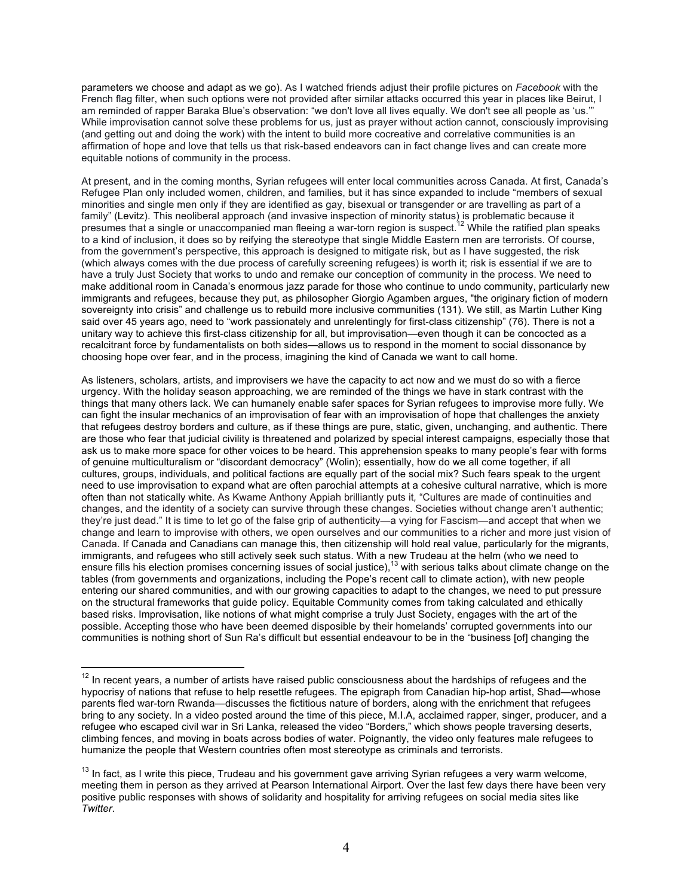parameters we choose and adapt as we go). As I watched friends adjust their profile pictures on *Facebook* with the French flag filter, when such options were not provided after similar attacks occurred this year in places like Beirut, I am reminded of rapper Baraka Blue's observation: "we don't love all lives equally. We don't see all people as 'us.'" While improvisation cannot solve these problems for us, just as prayer without action cannot, consciously improvising (and getting out and doing the work) with the intent to build more cocreative and correlative communities is an affirmation of hope and love that tells us that risk-based endeavors can in fact change lives and can create more equitable notions of community in the process.

At present, and in the coming months, Syrian refugees will enter local communities across Canada. At first, Canada's Refugee Plan only included women, children, and families, but it has since expanded to include "members of sexual minorities and single men only if they are identified as gay, bisexual or transgender or are travelling as part of a family" (Levitz). This neoliberal approach (and invasive inspection of minority status) is problematic because it presumes that a single or unaccompanied man fleeing a war-torn region is suspect.<sup>12</sup> While the ratified plan speaks to a kind of inclusion, it does so by reifying the stereotype that single Middle Eastern men are terrorists. Of course, from the government's perspective, this approach is designed to mitigate risk, but as I have suggested, the risk (which always comes with the due process of carefully screening refugees) is worth it; risk is essential if we are to have a truly Just Society that works to undo and remake our conception of community in the process. We need to make additional room in Canada's enormous jazz parade for those who continue to undo community, particularly new immigrants and refugees, because they put, as philosopher Giorgio Agamben argues, "the originary fiction of modern sovereignty into crisis" and challenge us to rebuild more inclusive communities (131). We still, as Martin Luther King said over 45 years ago, need to "work passionately and unrelentingly for first-class citizenship" (76). There is not a unitary way to achieve this first-class citizenship for all, but improvisation—even though it can be concocted as a recalcitrant force by fundamentalists on both sides—allows us to respond in the moment to social dissonance by choosing hope over fear, and in the process, imagining the kind of Canada we want to call home.

As listeners, scholars, artists, and improvisers we have the capacity to act now and we must do so with a fierce urgency. With the holiday season approaching, we are reminded of the things we have in stark contrast with the things that many others lack. We can humanely enable safer spaces for Syrian refugees to improvise more fully. We can fight the insular mechanics of an improvisation of fear with an improvisation of hope that challenges the anxiety that refugees destroy borders and culture, as if these things are pure, static, given, unchanging, and authentic. There are those who fear that judicial civility is threatened and polarized by special interest campaigns, especially those that ask us to make more space for other voices to be heard. This apprehension speaks to many people's fear with forms of genuine multiculturalism or "discordant democracy" (Wolin); essentially, how do we all come together, if all cultures, groups, individuals, and political factions are equally part of the social mix? Such fears speak to the urgent need to use improvisation to expand what are often parochial attempts at a cohesive cultural narrative, which is more often than not statically white. As Kwame Anthony Appiah brilliantly puts it*,* "Cultures are made of continuities and changes, and the identity of a society can survive through these changes. Societies without change aren't authentic; they're just dead." It is time to let go of the false grip of authenticity—a vying for Fascism—and accept that when we change and learn to improvise with others, we open ourselves and our communities to a richer and more just vision of Canada. If Canada and Canadians can manage this, then citizenship will hold real value, particularly for the migrants, immigrants, and refugees who still actively seek such status. With a new Trudeau at the helm (who we need to ensure fills his election promises concerning issues of social justice),<sup>13</sup> with serious talks about climate change on the tables (from governments and organizations, including the Pope's recent call to climate action), with new people entering our shared communities, and with our growing capacities to adapt to the changes, we need to put pressure on the structural frameworks that guide policy. Equitable Community comes from taking calculated and ethically based risks. Improvisation, like notions of what might comprise a truly Just Society, engages with the art of the possible. Accepting those who have been deemed disposible by their homelands' corrupted governments into our communities is nothing short of Sun Ra's difficult but essential endeavour to be in the "business [of] changing the

 $12$  In recent years, a number of artists have raised public consciousness about the hardships of refugees and the hypocrisy of nations that refuse to help resettle refugees. The epigraph from Canadian hip-hop artist, Shad—whose parents fled war-torn Rwanda—discusses the fictitious nature of borders, along with the enrichment that refugees bring to any society. In a video posted around the time of this piece, M.I.A, acclaimed rapper, singer, producer, and a refugee who escaped civil war in Sri Lanka, released the video "Borders," which shows people traversing deserts, climbing fences, and moving in boats across bodies of water. Poignantly, the video only features male refugees to humanize the people that Western countries often most stereotype as criminals and terrorists.

 $13$  In fact, as I write this piece, Trudeau and his government gave arriving Syrian refugees a very warm welcome, meeting them in person as they arrived at Pearson International Airport. Over the last few days there have been very positive public responses with shows of solidarity and hospitality for arriving refugees on social media sites like *Twitter*.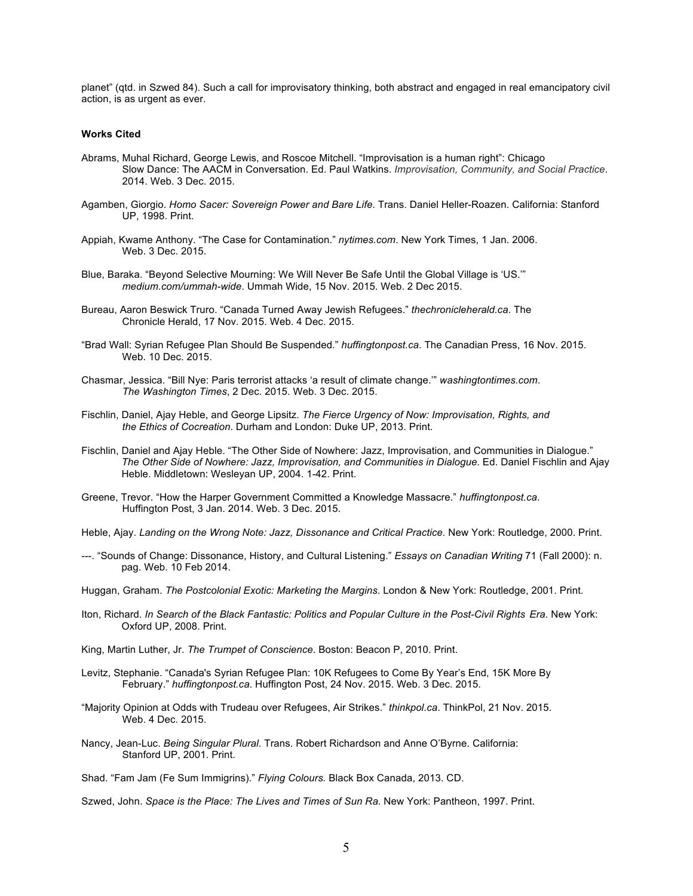planet" (qtd. in Szwed 84). Such a call for improvisatory thinking, both abstract and engaged in real emancipatory civil action, is as urgent as ever.

## **Works Cited**

- Abrams, Muhal Richard, George Lewis, and Roscoe Mitchell. "Improvisation is a human right": Chicago Slow Dance: The AACM in Conversation. Ed. Paul Watkins. *Improvisation, Community, and Social Practice*. 2014. Web. 3 Dec. 2015.
- Agamben, Giorgio. *Homo Sacer: Sovereign Power and Bare Life*. Trans. Daniel Heller-Roazen. California: Stanford UP, 1998. Print.
- Appiah, Kwame Anthony. "The Case for Contamination." *nytimes.com*. New York Times, 1 Jan. 2006. Web. 3 Dec. 2015.
- Blue, Baraka. "Beyond Selective Mourning: We Will Never Be Safe Until the Global Village is 'US.'" *medium.com/ummah-wide*. Ummah Wide, 15 Nov. 2015. Web. 2 Dec 2015.
- Bureau, Aaron Beswick Truro. "Canada Turned Away Jewish Refugees." *thechronicleherald.ca*. The Chronicle Herald, 17 Nov. 2015. Web. 4 Dec. 2015.
- "Brad Wall: Syrian Refugee Plan Should Be Suspended." *huffingtonpost.ca*. The Canadian Press, 16 Nov. 2015. Web. 10 Dec. 2015.
- Chasmar, Jessica. "Bill Nye: Paris terrorist attacks 'a result of climate change.'" *washingtontimes.com*. *The Washington Times*, 2 Dec. 2015. Web. 3 Dec. 2015.
- Fischlin, Daniel, Ajay Heble, and George Lipsitz. *The Fierce Urgency of Now: Improvisation, Rights, and the Ethics of Cocreation*. Durham and London: Duke UP, 2013. Print.
- Fischlin, Daniel and Ajay Heble. "The Other Side of Nowhere: Jazz, Improvisation, and Communities in Dialogue." *The Other Side of Nowhere: Jazz, Improvisation, and Communities in Dialogue*. Ed. Daniel Fischlin and Ajay Heble. Middletown: Wesleyan UP, 2004. 1-42. Print.
- Greene, Trevor. "How the Harper Government Committed a Knowledge Massacre." *huffingtonpost.ca*. Huffington Post, 3 Jan. 2014. Web. 3 Dec. 2015.
- Heble, Ajay. *Landing on the Wrong Note: Jazz, Dissonance and Critical Practice.* New York: Routledge, 2000. Print.
- ---. "Sounds of Change: Dissonance, History, and Cultural Listening." *Essays on Canadian Writing* 71 (Fall 2000): n. pag. Web. 10 Feb 2014.
- Huggan, Graham. *The Postcolonial Exotic: Marketing the Margins*. London & New York: Routledge, 2001. Print.
- Iton, Richard. *In Search of the Black Fantastic: Politics and Popular Culture in the Post-Civil Rights Era*. New York: Oxford UP, 2008. Print.
- King, Martin Luther, Jr. The Trumpet of Conscience. Boston: Beacon P, 2010. Print.
- Levitz, Stephanie. "Canada's Syrian Refugee Plan: 10K Refugees to Come By Year's End, 15K More By February." *huffingtonpost.ca*. Huffington Post, 24 Nov. 2015. Web. 3 Dec. 2015.
- "Majority Opinion at Odds with Trudeau over Refugees, Air Strikes." *thinkpol.ca*. ThinkPol, 21 Nov. 2015. Web. 4 Dec. 2015.
- Nancy, Jean-Luc. *Being Singular Plural*. Trans. Robert Richardson and Anne O'Byrne. California: Stanford UP, 2001. Print.

Shad. "Fam Jam (Fe Sum Immigrins)." *Flying Colours.* Black Box Canada, 2013. CD.

Szwed, John. *Space is the Place: The Lives and Times of Sun Ra*. New York: Pantheon, 1997. Print.